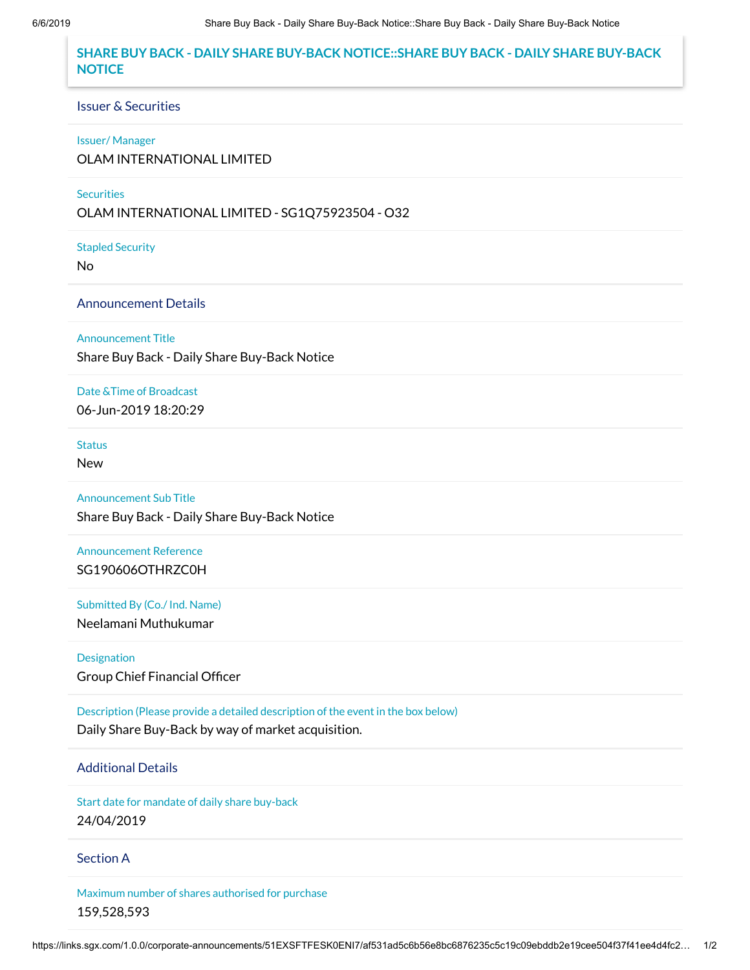# **SHARE BUY BACK - DAILY SHARE BUY-BACK NOTICE::SHARE BUY BACK - DAILY SHARE BUY-BACK NOTICE**

### Issuer & Securities

#### Issuer/ Manager

OLAM INTERNATIONAL LIMITED

### **Securities**

OLAM INTERNATIONAL LIMITED - SG1Q75923504 - O32

Stapled Security

No

## Announcement Details

Announcement Title

Share Buy Back - Daily Share Buy-Back Notice

### Date &Time of Broadcast

06-Jun-2019 18:20:29

# **Status**

New

Announcement Sub Title

Share Buy Back - Daily Share Buy-Back Notice

Announcement Reference SG190606OTHRZC0H

Submitted By (Co./ Ind. Name) Neelamani Muthukumar

Designation Group Chief Financial Officer

Description (Please provide a detailed description of the event in the box below) Daily Share Buy-Back by way of market acquisition.

## Additional Details

Start date for mandate of daily share buy-back 24/04/2019

### Section A

Maximum number of shares authorised for purchase 159,528,593